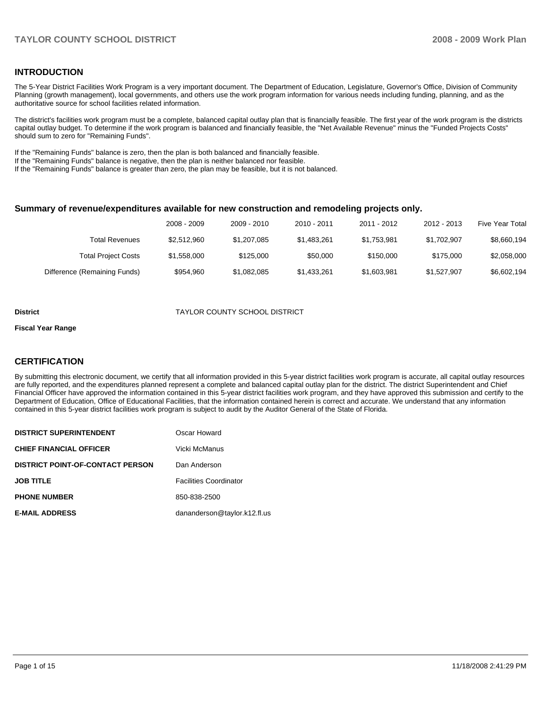#### **INTRODUCTION**

The 5-Year District Facilities Work Program is a very important document. The Department of Education, Legislature, Governor's Office, Division of Community Planning (growth management), local governments, and others use the work program information for various needs including funding, planning, and as the authoritative source for school facilities related information.

The district's facilities work program must be a complete, balanced capital outlay plan that is financially feasible. The first year of the work program is the districts capital outlay budget. To determine if the work program is balanced and financially feasible, the "Net Available Revenue" minus the "Funded Projects Costs" should sum to zero for "Remaining Funds".

If the "Remaining Funds" balance is zero, then the plan is both balanced and financially feasible.

If the "Remaining Funds" balance is negative, then the plan is neither balanced nor feasible.

If the "Remaining Funds" balance is greater than zero, the plan may be feasible, but it is not balanced.

#### **Summary of revenue/expenditures available for new construction and remodeling projects only.**

|                              | 2008 - 2009 | 2009 - 2010 | 2010 - 2011 | 2011 - 2012 | 2012 - 2013 | <b>Five Year Total</b> |
|------------------------------|-------------|-------------|-------------|-------------|-------------|------------------------|
| Total Revenues               | \$2,512,960 | \$1,207,085 | \$1,483,261 | \$1.753.981 | \$1.702.907 | \$8,660,194            |
| <b>Total Project Costs</b>   | \$1,558,000 | \$125,000   | \$50,000    | \$150,000   | \$175,000   | \$2,058,000            |
| Difference (Remaining Funds) | \$954.960   | \$1,082,085 | \$1,433,261 | \$1,603,981 | \$1,527,907 | \$6,602,194            |

#### **District** TAYLOR COUNTY SCHOOL DISTRICT

#### **Fiscal Year Range**

#### **CERTIFICATION**

By submitting this electronic document, we certify that all information provided in this 5-year district facilities work program is accurate, all capital outlay resources are fully reported, and the expenditures planned represent a complete and balanced capital outlay plan for the district. The district Superintendent and Chief Financial Officer have approved the information contained in this 5-year district facilities work program, and they have approved this submission and certify to the Department of Education, Office of Educational Facilities, that the information contained herein is correct and accurate. We understand that any information contained in this 5-year district facilities work program is subject to audit by the Auditor General of the State of Florida.

| <b>DISTRICT SUPERINTENDENT</b>          | Oscar Howard                  |
|-----------------------------------------|-------------------------------|
| <b>CHIEF FINANCIAL OFFICER</b>          | Vicki McManus                 |
| <b>DISTRICT POINT-OF-CONTACT PERSON</b> | Dan Anderson                  |
| <b>JOB TITLE</b>                        | <b>Facilities Coordinator</b> |
| <b>PHONE NUMBER</b>                     | 850-838-2500                  |
| <b>E-MAIL ADDRESS</b>                   | dananderson@taylor.k12.fl.us  |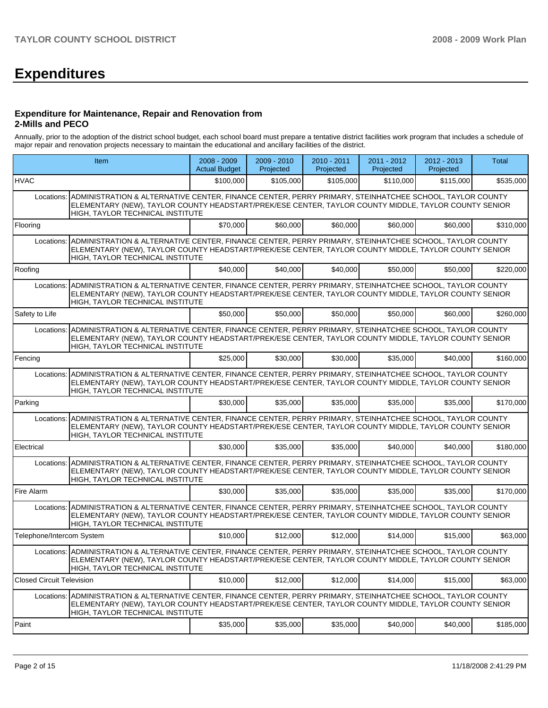# **Expenditures**

#### **Expenditure for Maintenance, Repair and Renovation from 2-Mills and PECO**

Annually, prior to the adoption of the district school budget, each school board must prepare a tentative district facilities work program that includes a schedule of major repair and renovation projects necessary to maintain the educational and ancillary facilities of the district.

|                                  | Item                                                                                                                                                                                                                                                                  | $2008 - 2009$<br><b>Actual Budget</b> | 2009 - 2010<br>Projected | 2010 - 2011<br>Projected | 2011 - 2012<br>Projected | 2012 - 2013<br>Projected | Total     |  |
|----------------------------------|-----------------------------------------------------------------------------------------------------------------------------------------------------------------------------------------------------------------------------------------------------------------------|---------------------------------------|--------------------------|--------------------------|--------------------------|--------------------------|-----------|--|
| <b>HVAC</b>                      |                                                                                                                                                                                                                                                                       | \$100,000                             | \$105,000                | \$105,000                | \$110,000                | \$115,000                | \$535,000 |  |
|                                  | Locations: ADMINISTRATION & ALTERNATIVE CENTER, FINANCE CENTER, PERRY PRIMARY, STEINHATCHEE SCHOOL, TAYLOR COUNTY<br>ELEMENTARY (NEW), TAYLOR COUNTY HEADSTART/PREK/ESE CENTER, TAYLOR COUNTY MIDDLE, TAYLOR COUNTY SENIOR<br>HIGH, TAYLOR TECHNICAL INSTITUTE        |                                       |                          |                          |                          |                          |           |  |
| Flooring                         |                                                                                                                                                                                                                                                                       | \$70,000                              | \$60,000                 | \$60,000                 | \$60,000                 | \$60,000                 | \$310,000 |  |
| Locations:                       | ADMINISTRATION & ALTERNATIVE CENTER, FINANCE CENTER, PERRY PRIMARY, STEINHATCHEE SCHOOL, TAYLOR COUNTY<br>ELEMENTARY (NEW), TAYLOR COUNTY HEADSTART/PREK/ESE CENTER, TAYLOR COUNTY MIDDLE, TAYLOR COUNTY SENIOR<br>HIGH, TAYLOR TECHNICAL INSTITUTE                   |                                       |                          |                          |                          |                          |           |  |
| Roofing                          |                                                                                                                                                                                                                                                                       | \$40,000                              | \$40,000                 | \$40,000                 | \$50,000                 | \$50,000                 | \$220,000 |  |
| Locations:                       | ADMINISTRATION & ALTERNATIVE CENTER, FINANCE CENTER, PERRY PRIMARY, STEINHATCHEE SCHOOL, TAYLOR COUNTY<br>ELEMENTARY (NEW), TAYLOR COUNTY HEADSTART/PREK/ESE CENTER, TAYLOR COUNTY MIDDLE, TAYLOR COUNTY SENIOR<br>HIGH, TAYLOR TECHNICAL INSTITUTE                   |                                       |                          |                          |                          |                          |           |  |
| Safety to Life                   |                                                                                                                                                                                                                                                                       | \$50,000                              | \$50,000                 | \$50,000                 | \$50,000                 | \$60,000                 | \$260,000 |  |
| Locations:                       | ADMINISTRATION & ALTERNATIVE CENTER, FINANCE CENTER, PERRY PRIMARY, STEINHATCHEE SCHOOL, TAYLOR COUNTY<br>ELEMENTARY (NEW), TAYLOR COUNTY HEADSTART/PREK/ESE CENTER, TAYLOR COUNTY MIDDLE, TAYLOR COUNTY SENIOR<br>HIGH, TAYLOR TECHNICAL INSTITUTE                   |                                       |                          |                          |                          |                          |           |  |
| Fencing                          |                                                                                                                                                                                                                                                                       | \$25,000                              | \$30,000                 | \$30,000                 | \$35,000                 | \$40,000                 | \$160,000 |  |
|                                  | Locations: ADMINISTRATION & ALTERNATIVE CENTER, FINANCE CENTER, PERRY PRIMARY, STEINHATCHEE SCHOOL, TAYLOR COUNTY<br>ELEMENTARY (NEW), TAYLOR COUNTY HEADSTART/PREK/ESE CENTER, TAYLOR COUNTY MIDDLE, TAYLOR COUNTY SENIOR<br>HIGH, TAYLOR TECHNICAL INSTITUTE        |                                       |                          |                          |                          |                          |           |  |
| Parking                          |                                                                                                                                                                                                                                                                       | \$30,000                              | \$35,000                 | \$35,000                 | \$35,000                 | \$35,000                 | \$170,000 |  |
|                                  | Locations: ADMINISTRATION & ALTERNATIVE CENTER, FINANCE CENTER, PERRY PRIMARY, STEINHATCHEE SCHOOL, TAYLOR COUNTY<br>ELEMENTARY (NEW), TAYLOR COUNTY HEADSTART/PREK/ESE CENTER, TAYLOR COUNTY MIDDLE, TAYLOR COUNTY SENIOR<br>HIGH, TAYLOR TECHNICAL INSTITUTE        |                                       |                          |                          |                          |                          |           |  |
| Electrical                       |                                                                                                                                                                                                                                                                       | \$30,000                              | \$35,000                 | \$35,000                 | \$40,000                 | \$40,000                 | \$180,000 |  |
|                                  | Locations: ADMINISTRATION & ALTERNATIVE CENTER, FINANCE CENTER, PERRY PRIMARY, STEINHATCHEE SCHOOL, TAYLOR COUNTY<br>ELEMENTARY (NEW), TAYLOR COUNTY HEADSTART/PREK/ESE CENTER, TAYLOR COUNTY MIDDLE, TAYLOR COUNTY SENIOR<br>HIGH, TAYLOR TECHNICAL INSTITUTE        |                                       |                          |                          |                          |                          |           |  |
| Fire Alarm                       |                                                                                                                                                                                                                                                                       | \$30,000                              | \$35,000                 | \$35,000                 | \$35,000                 | \$35,000                 | \$170,000 |  |
|                                  | Locations: ADMINISTRATION & ALTERNATIVE CENTER, FINANCE CENTER, PERRY PRIMARY, STEINHATCHEE SCHOOL, TAYLOR COUNTY<br>ELEMENTARY (NEW), TAYLOR COUNTY HEADSTART/PREK/ESE CENTER, TAYLOR COUNTY MIDDLE, TAYLOR COUNTY SENIOR<br><b>HIGH. TAYLOR TECHNICAL INSTITUTE</b> |                                       |                          |                          |                          |                          |           |  |
| Telephone/Intercom System        |                                                                                                                                                                                                                                                                       | \$10,000                              | \$12,000                 | \$12,000                 | \$14,000                 | \$15,000                 | \$63,000  |  |
|                                  | Locations: ADMINISTRATION & ALTERNATIVE CENTER, FINANCE CENTER, PERRY PRIMARY, STEINHATCHEE SCHOOL, TAYLOR COUNTY<br>ELEMENTARY (NEW), TAYLOR COUNTY HEADSTART/PREK/ESE CENTER, TAYLOR COUNTY MIDDLE, TAYLOR COUNTY SENIOR<br>HIGH, TAYLOR TECHNICAL INSTITUTE        |                                       |                          |                          |                          |                          |           |  |
| <b>Closed Circuit Television</b> |                                                                                                                                                                                                                                                                       | \$10,000                              | \$12,000                 | \$12,000                 | \$14,000                 | \$15,000                 | \$63,000  |  |
| Locations:                       | ADMINISTRATION & ALTERNATIVE CENTER, FINANCE CENTER, PERRY PRIMARY, STEINHATCHEE SCHOOL, TAYLOR COUNTY<br>ELEMENTARY (NEW), TAYLOR COUNTY HEADSTART/PREK/ESE CENTER, TAYLOR COUNTY MIDDLE, TAYLOR COUNTY SENIOR<br>HIGH, TAYLOR TECHNICAL INSTITUTE                   |                                       |                          |                          |                          |                          |           |  |
| Paint                            |                                                                                                                                                                                                                                                                       | \$35,000                              | \$35,000                 | \$35,000                 | \$40,000                 | \$40,000                 | \$185,000 |  |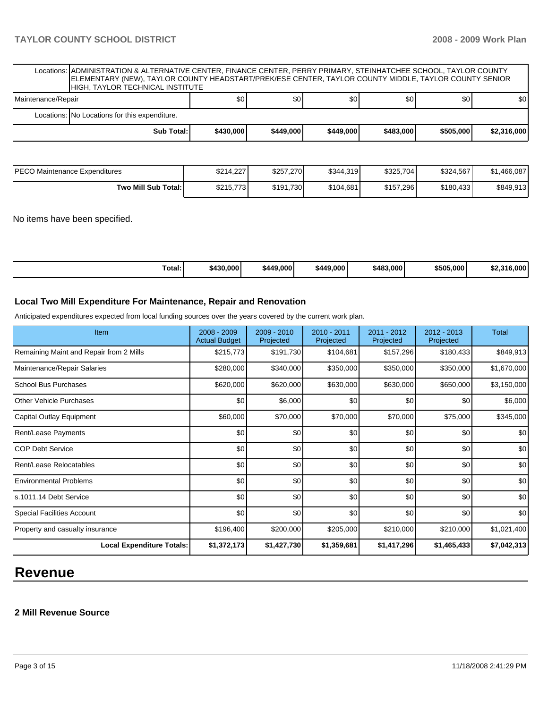| Locations:  ADMINISTRATION & ALTERNATIVE CENTER, FINANCE CENTER, PERRY PRIMARY, STEINHATCHEE SCHOOL, TAYLOR COUNTY<br>ELEMENTARY (NEW), TAYLOR COUNTY HEADSTART/PREK/ESE CENTER, TAYLOR COUNTY MIDDLE, TAYLOR COUNTY SENIOR<br>HIGH, TAYLOR TECHNICAL INSTITUTE |            |           |           |           |           |           |             |  |  |
|-----------------------------------------------------------------------------------------------------------------------------------------------------------------------------------------------------------------------------------------------------------------|------------|-----------|-----------|-----------|-----------|-----------|-------------|--|--|
| Maintenance/Repair                                                                                                                                                                                                                                              |            | \$0       | \$0       | \$0       | \$0       | \$0       | \$0         |  |  |
| Locations: No Locations for this expenditure.                                                                                                                                                                                                                   |            |           |           |           |           |           |             |  |  |
|                                                                                                                                                                                                                                                                 | Sub Total: | \$430,000 | \$449,000 | \$449,000 | \$483,000 | \$505,000 | \$2,316,000 |  |  |
|                                                                                                                                                                                                                                                                 |            |           |           |           |           |           |             |  |  |
|                                                                                                                                                                                                                                                                 |            |           |           |           |           |           |             |  |  |

**Two Mill Sub Total: \$215,773** \$191,730 \$104,681 \$157,296 \$180,433 \$849,913

No items have been specified.

| Total: | \$430,000 | \$449,000 | \$449,000 | \$483,000 | \$505.000 | ' 000.ن<br><b>¢2.316</b><br>82.J |
|--------|-----------|-----------|-----------|-----------|-----------|----------------------------------|
|--------|-----------|-----------|-----------|-----------|-----------|----------------------------------|

#### **Local Two Mill Expenditure For Maintenance, Repair and Renovation**

Anticipated expenditures expected from local funding sources over the years covered by the current work plan.

| Item                                    | 2008 - 2009<br><b>Actual Budget</b> | 2009 - 2010<br>Projected | $2010 - 2011$<br>Projected | 2011 - 2012<br>Projected | $2012 - 2013$<br>Projected | <b>Total</b>     |
|-----------------------------------------|-------------------------------------|--------------------------|----------------------------|--------------------------|----------------------------|------------------|
| Remaining Maint and Repair from 2 Mills | \$215,773                           | \$191,730                | \$104,681                  | \$157,296                | \$180,433                  | \$849,913        |
| Maintenance/Repair Salaries             | \$280,000                           | \$340,000                | \$350,000                  | \$350,000                | \$350,000                  | \$1,670,000      |
| <b>School Bus Purchases</b>             | \$620,000                           | \$620,000                | \$630,000                  | \$630,000                | \$650,000                  | \$3,150,000      |
| <b>Other Vehicle Purchases</b>          | \$0                                 | \$6,000                  | \$0                        | \$0                      | \$0                        | \$6,000          |
| Capital Outlay Equipment                | \$60,000                            | \$70,000                 | \$70,000                   | \$70,000                 | \$75,000                   | \$345,000        |
| Rent/Lease Payments                     | \$0                                 | \$0                      | \$0                        | \$0                      | \$0                        | \$0 <sub>1</sub> |
| <b>COP Debt Service</b>                 | \$0                                 | \$0                      | \$0                        | \$0                      | \$0                        | \$0              |
| Rent/Lease Relocatables                 | \$0                                 | \$0                      | \$0                        | \$0                      | \$0                        | \$0              |
| <b>Environmental Problems</b>           | \$0                                 | \$0                      | \$0                        | \$0                      | \$0                        | \$0              |
| Is.1011.14 Debt Service                 | \$0                                 | \$0                      | \$0                        | \$0                      | \$0                        | \$0              |
| Special Facilities Account              | \$0                                 | \$0                      | \$0                        | \$0                      | \$0                        | \$0              |
| Property and casualty insurance         | \$196,400                           | \$200,000                | \$205,000                  | \$210,000                | \$210,000                  | \$1,021,400      |
| <b>Local Expenditure Totals:</b>        | \$1,372,173                         | \$1,427,730              | \$1,359,681                | \$1,417,296              | \$1,465,433                | \$7,042,313      |

# **Revenue**

#### **2 Mill Revenue Source**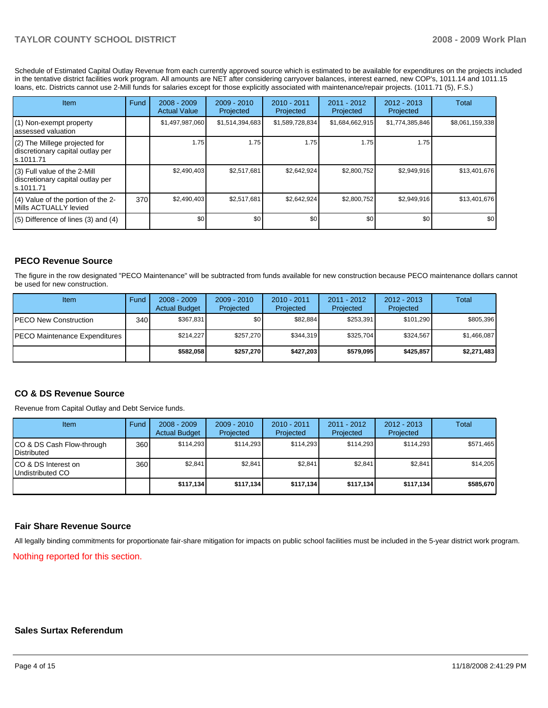## **TAYLOR COUNTY SCHOOL DISTRICT 2008 - 2009 Work Plan**

Schedule of Estimated Capital Outlay Revenue from each currently approved source which is estimated to be available for expenditures on the projects included in the tentative district facilities work program. All amounts are NET after considering carryover balances, interest earned, new COP's, 1011.14 and 1011.15 loans, etc. Districts cannot use 2-Mill funds for salaries except for those explicitly associated with maintenance/repair projects. (1011.71 (5), F.S.)

| <b>Item</b>                                                                      | Fund | $2008 - 2009$<br><b>Actual Value</b> | $2009 - 2010$<br>Projected | $2010 - 2011$<br>Projected | 2011 - 2012<br>Projected | $2012 - 2013$<br>Projected | Total           |
|----------------------------------------------------------------------------------|------|--------------------------------------|----------------------------|----------------------------|--------------------------|----------------------------|-----------------|
| (1) Non-exempt property<br>lassessed valuation                                   |      | \$1,497,987,060                      | \$1,514,394,683            | \$1,589,728,834            | \$1,684,662,915          | \$1,774,385,846            | \$8,061,159,338 |
| (2) The Millege projected for<br>discretionary capital outlay per<br>ls.1011.71  |      | 1.75                                 | 1.75                       | 1.75                       | 1.75                     | 1.75                       |                 |
| $(3)$ Full value of the 2-Mill<br>discretionary capital outlay per<br>ls.1011.71 |      | \$2,490,403                          | \$2,517,681                | \$2,642,924                | \$2,800,752              | \$2,949,916                | \$13,401,676    |
| $(4)$ Value of the portion of the 2-<br>Mills ACTUALLY levied                    | 370  | \$2,490,403                          | \$2,517,681                | \$2,642,924                | \$2,800,752              | \$2,949,916                | \$13,401,676    |
| $(5)$ Difference of lines $(3)$ and $(4)$                                        |      | \$0 <sub>1</sub>                     | \$0                        | \$0                        | \$0                      | \$0                        | \$0             |

## **PECO Revenue Source**

The figure in the row designated "PECO Maintenance" will be subtracted from funds available for new construction because PECO maintenance dollars cannot be used for new construction.

| Item                                  | Fund | $2008 - 2009$<br><b>Actual Budget</b> | $2009 - 2010$<br>Projected | $2010 - 2011$<br>Projected | $2011 - 2012$<br>Projected | $2012 - 2013$<br>Projected | Total       |
|---------------------------------------|------|---------------------------------------|----------------------------|----------------------------|----------------------------|----------------------------|-------------|
| IPECO New Construction                | 340  | \$367.831                             | \$0 <sub>1</sub>           | \$82.884                   | \$253,391                  | \$101.290                  | \$805,396   |
| <b>IPECO Maintenance Expenditures</b> |      | \$214.227                             | \$257,270                  | \$344.319                  | \$325,704                  | \$324,567                  | \$1,466,087 |
|                                       |      | \$582.058                             | \$257.270                  | \$427.203                  | \$579.095                  | \$425.857                  | \$2,271,483 |

## **CO & DS Revenue Source**

Revenue from Capital Outlay and Debt Service funds.

| Item                                               | Fund  | $2008 - 2009$<br><b>Actual Budget</b> | $2009 - 2010$<br>Projected | $2010 - 2011$<br>Projected | 2011 - 2012<br>Projected | $2012 - 2013$<br>Projected | Total     |
|----------------------------------------------------|-------|---------------------------------------|----------------------------|----------------------------|--------------------------|----------------------------|-----------|
| ICO & DS Cash Flow-through<br><b>I</b> Distributed | 360 l | \$114.293                             | \$114.293                  | \$114.293                  | \$114.293                | \$114.293                  | \$571,465 |
| ICO & DS Interest on<br>Undistributed CO           | 360   | \$2.841                               | \$2,841                    | \$2,841                    | \$2.841                  | \$2.841                    | \$14,205  |
|                                                    |       | \$117,134                             | \$117,134                  | \$117.134                  | \$117.134                | \$117.134                  | \$585,670 |

#### **Fair Share Revenue Source**

All legally binding commitments for proportionate fair-share mitigation for impacts on public school facilities must be included in the 5-year district work program. Nothing reported for this section.

#### **Sales Surtax Referendum**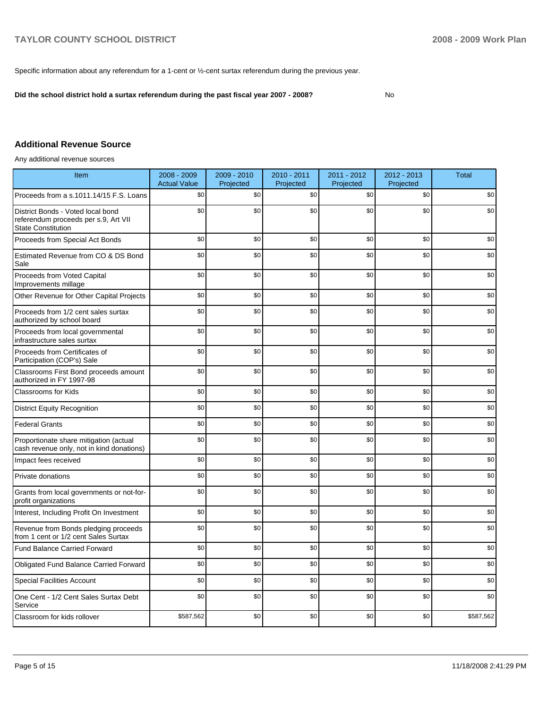Specific information about any referendum for a 1-cent or  $\frac{1}{2}$ -cent surtax referendum during the previous year.

**Did the school district hold a surtax referendum during the past fiscal year 2007 - 2008?** No

## **Additional Revenue Source**

Any additional revenue sources

| Item                                                                                                   | 2008 - 2009<br><b>Actual Value</b> | 2009 - 2010<br>Projected | 2010 - 2011<br>Projected | 2011 - 2012<br>Projected | 2012 - 2013<br>Projected | <b>Total</b> |
|--------------------------------------------------------------------------------------------------------|------------------------------------|--------------------------|--------------------------|--------------------------|--------------------------|--------------|
| Proceeds from a s.1011.14/15 F.S. Loans                                                                | \$0                                | \$0                      | \$0                      | \$0                      | \$0                      | \$0          |
| District Bonds - Voted local bond<br>referendum proceeds per s.9, Art VII<br><b>State Constitution</b> | \$0                                | \$0                      | \$0                      | \$0                      | \$0                      | \$0          |
| Proceeds from Special Act Bonds                                                                        | \$0                                | \$0                      | \$0                      | \$0                      | \$0                      | \$0          |
| Estimated Revenue from CO & DS Bond<br>Sale                                                            | \$0                                | \$0                      | \$0                      | \$0                      | \$0                      | \$0          |
| Proceeds from Voted Capital<br>Improvements millage                                                    | \$0                                | \$0                      | \$0                      | \$0                      | \$0                      | \$0          |
| Other Revenue for Other Capital Projects                                                               | \$0                                | \$0                      | \$0                      | \$0                      | \$0                      | \$0          |
| Proceeds from 1/2 cent sales surtax<br>authorized by school board                                      | \$0                                | \$0                      | \$0                      | \$0                      | \$0                      | \$0          |
| Proceeds from local governmental<br>infrastructure sales surtax                                        | \$0                                | \$0                      | \$0                      | \$0                      | \$0                      | \$0          |
| Proceeds from Certificates of<br>Participation (COP's) Sale                                            | \$0                                | \$0                      | \$0                      | \$0                      | \$0                      | \$0          |
| Classrooms First Bond proceeds amount<br>authorized in FY 1997-98                                      | \$0                                | \$0                      | \$0                      | \$0                      | \$0                      | \$0          |
| <b>Classrooms for Kids</b>                                                                             | \$0                                | \$0                      | \$0                      | \$0                      | \$0                      | \$0          |
| <b>District Equity Recognition</b>                                                                     | \$0                                | \$0                      | \$0                      | \$0                      | \$0                      | \$0          |
| <b>Federal Grants</b>                                                                                  | \$0                                | \$0                      | \$0                      | \$0                      | \$0                      | \$0          |
| Proportionate share mitigation (actual<br>cash revenue only, not in kind donations)                    | \$0                                | \$0                      | \$0                      | \$0                      | \$0                      | \$0          |
| Impact fees received                                                                                   | \$0                                | \$0                      | \$0                      | \$0                      | \$0                      | \$0          |
| Private donations                                                                                      | \$0                                | \$0                      | \$0                      | \$0                      | \$0                      | \$0          |
| Grants from local governments or not-for-<br>profit organizations                                      | \$0                                | \$0                      | \$0                      | \$0                      | \$0                      | \$0          |
| Interest, Including Profit On Investment                                                               | \$0                                | \$0                      | \$0                      | \$0                      | \$0                      | \$0          |
| Revenue from Bonds pledging proceeds<br>from 1 cent or 1/2 cent Sales Surtax                           | \$0                                | \$0                      | \$0                      | \$0                      | \$0                      | \$0          |
| <b>Fund Balance Carried Forward</b>                                                                    | \$0                                | \$0                      | \$0                      | \$0                      | \$0                      | \$0          |
| <b>Obligated Fund Balance Carried Forward</b>                                                          | \$0                                | \$0                      | \$0                      | \$0                      | \$0                      | \$0          |
| <b>Special Facilities Account</b>                                                                      | \$0                                | \$0                      | \$0                      | \$0                      | \$0                      | \$0          |
| One Cent - 1/2 Cent Sales Surtax Debt<br>Service                                                       | \$0                                | \$0                      | \$0                      | \$0                      | \$0                      | \$0          |
| Classroom for kids rollover                                                                            | \$587,562                          | \$0                      | \$0                      | \$0                      | \$0                      | \$587,562    |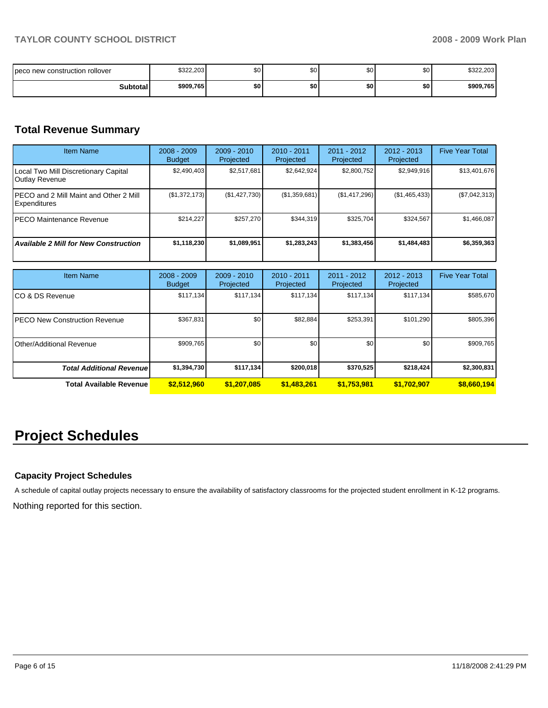| I peco new construction rollover | \$322,203 | \$0 <sub>1</sub> | \$0 | \$0 | \$0 | \$322,203 |
|----------------------------------|-----------|------------------|-----|-----|-----|-----------|
| <b>Subtotal</b>                  | \$909,765 | \$0              | \$0 | \$0 | \$0 | \$909,765 |

# **Total Revenue Summary**

| <b>Item Name</b>                                               | $2008 - 2009$<br><b>Budget</b> | $2009 - 2010$<br>Projected | 2010 - 2011<br><b>Projected</b> | 2011 - 2012<br>Projected | $2012 - 2013$<br>Projected | <b>Five Year Total</b> |
|----------------------------------------------------------------|--------------------------------|----------------------------|---------------------------------|--------------------------|----------------------------|------------------------|
| Local Two Mill Discretionary Capital<br><b>Outlay Revenue</b>  | \$2,490,403                    | \$2,517,681                | \$2.642.924                     | \$2,800,752              | \$2,949,916                | \$13,401,676           |
| IPECO and 2 Mill Maint and Other 2 Mill<br><b>Expenditures</b> | (\$1,372,173)                  | (\$1,427,730)              | (\$1,359,681)                   | (\$1,417,296)            | (\$1,465,433)              | (\$7,042,313)          |
| PECO Maintenance Revenue                                       | \$214.227                      | \$257.270                  | \$344.319                       | \$325.704                | \$324,567                  | \$1,466,087            |
| <b>Available 2 Mill for New Construction</b>                   | \$1,118,230                    | \$1.089.951                | \$1,283,243                     | \$1,383,456              | \$1,484,483                | \$6,359,363            |

| <b>Item Name</b>                      | $2008 - 2009$<br><b>Budget</b> | $2009 - 2010$<br>Projected | $2010 - 2011$<br>Projected | $2011 - 2012$<br>Projected | $2012 - 2013$<br>Projected | <b>Five Year Total</b> |
|---------------------------------------|--------------------------------|----------------------------|----------------------------|----------------------------|----------------------------|------------------------|
| ICO & DS Revenue                      | \$117,134                      | \$117,134                  | \$117.134                  | \$117,134                  | \$117,134                  | \$585,670              |
| <b>IPECO New Construction Revenue</b> | \$367,831                      | \$0                        | \$82,884                   | \$253,391                  | \$101,290                  | \$805,396              |
| <b>IOther/Additional Revenue</b>      | \$909,765                      | \$0 <sub>1</sub>           | \$0                        | \$0                        | \$0                        | \$909,765              |
| <b>Total Additional Revenuel</b>      | \$1,394,730                    | \$117,134                  | \$200.018                  | \$370,525                  | \$218.424                  | \$2,300,831            |
| <b>Total Available Revenue</b>        | \$2,512,960                    | \$1,207,085                | \$1,483,261                | \$1,753,981                | \$1,702,907                | \$8,660,194            |

# **Project Schedules**

## **Capacity Project Schedules**

A schedule of capital outlay projects necessary to ensure the availability of satisfactory classrooms for the projected student enrollment in K-12 programs.

Nothing reported for this section.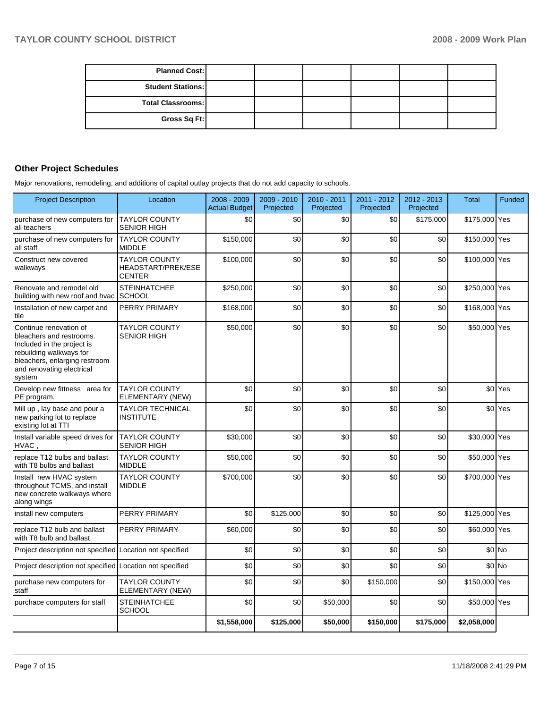| <b>Planned Cost:</b>     |  |  |  |
|--------------------------|--|--|--|
| <b>Student Stations:</b> |  |  |  |
| <b>Total Classrooms:</b> |  |  |  |
| Gross Sq Ft:             |  |  |  |

# **Other Project Schedules**

Major renovations, remodeling, and additions of capital outlay projects that do not add capacity to schools.

| <b>Project Description</b>                                                                                                                                                          | Location                                                           | 2008 - 2009<br><b>Actual Budget</b> | 2009 - 2010<br>Projected | 2010 - 2011<br>Projected | 2011 - 2012<br>Projected | 2012 - 2013<br>Projected | <b>Total</b>  | Funded             |
|-------------------------------------------------------------------------------------------------------------------------------------------------------------------------------------|--------------------------------------------------------------------|-------------------------------------|--------------------------|--------------------------|--------------------------|--------------------------|---------------|--------------------|
| purchase of new computers for<br>all teachers                                                                                                                                       | <b>TAYLOR COUNTY</b><br><b>SENIOR HIGH</b>                         | \$0                                 | \$0                      | \$0                      | \$0                      | \$175,000                | \$175,000 Yes |                    |
| purchase of new computers for<br>all staff                                                                                                                                          | <b>TAYLOR COUNTY</b><br><b>MIDDLE</b>                              | \$150,000                           | \$0                      | \$0                      | \$0                      | \$0                      | \$150,000 Yes |                    |
| Construct new covered<br>walkways                                                                                                                                                   | <b>TAYLOR COUNTY</b><br><b>HEADSTART/PREK/ESE</b><br><b>CENTER</b> | \$100,000                           | \$0                      | \$0                      | \$0                      | \$0                      | \$100,000 Yes |                    |
| Renovate and remodel old<br>building with new roof and hvac SCHOOL                                                                                                                  | <b>STEINHATCHEE</b>                                                | \$250,000                           | \$0                      | \$0                      | \$0                      | \$0                      | \$250,000 Yes |                    |
| Installation of new carpet and<br>tile                                                                                                                                              | <b>PERRY PRIMARY</b>                                               | \$168,000                           | \$0                      | \$0                      | \$0                      | \$0                      | \$168,000 Yes |                    |
| Continue renovation of<br>bleachers and restrooms.<br>Included in the project is<br>rebuilding walkways for<br>bleachers, enlarging restroom<br>and renovating electrical<br>system | <b>TAYLOR COUNTY</b><br><b>SENIOR HIGH</b>                         | \$50,000                            | \$0                      | \$0                      | \$0                      | \$0                      | \$50,000 Yes  |                    |
| Develop new fittness area for<br>PE program.                                                                                                                                        | <b>TAYLOR COUNTY</b><br>ELEMENTARY (NEW)                           | \$0                                 | \$0                      | \$0                      | \$0                      | \$0                      |               | \$0 <sup>Yes</sup> |
| Mill up, lay base and pour a<br>new parking lot to replace<br>existing lot at TTI                                                                                                   | <b>TAYLOR TECHNICAL</b><br><b>INSTITUTE</b>                        | \$0                                 | \$0                      | \$0                      | \$0                      | \$0                      |               | \$0 <sup>Yes</sup> |
| Install variable speed drives for<br>HVAC.                                                                                                                                          | <b>TAYLOR COUNTY</b><br><b>SENIOR HIGH</b>                         | \$30,000                            | \$0                      | \$0                      | \$0                      | \$0                      | \$30,000 Yes  |                    |
| replace T12 bulbs and ballast<br>with T8 bulbs and ballast                                                                                                                          | <b>TAYLOR COUNTY</b><br><b>MIDDLE</b>                              | \$50,000                            | \$0                      | \$0                      | \$0                      | \$0                      | \$50,000 Yes  |                    |
| Install new HVAC system<br>throughout TCMS, and install<br>new concrete walkways where<br>along wings                                                                               | <b>TAYLOR COUNTY</b><br><b>MIDDLE</b>                              | \$700,000                           | \$0                      | \$0                      | \$0                      | \$0                      | \$700,000 Yes |                    |
| install new computers                                                                                                                                                               | PERRY PRIMARY                                                      | \$0                                 | \$125,000                | \$0                      | \$0                      | \$0                      | \$125,000 Yes |                    |
| replace T12 bulb and ballast<br>with T8 bulb and ballast                                                                                                                            | PERRY PRIMARY                                                      | \$60,000                            | \$0                      | \$0                      | \$0                      | \$0                      | \$60,000 Yes  |                    |
| Project description not specified Location not specified                                                                                                                            |                                                                    | \$0                                 | \$0                      | \$0                      | \$0                      | \$0                      |               | $$0$ No            |
| Project description not specified Location not specified                                                                                                                            |                                                                    | \$0                                 | \$0                      | \$0                      | \$0                      | \$0                      |               | $$0$ No            |
| purchase new computers for<br>staff                                                                                                                                                 | <b>TAYLOR COUNTY</b><br>ELEMENTARY (NEW)                           | \$0                                 | \$0                      | \$0                      | \$150,000                | \$0                      | \$150,000 Yes |                    |
| purchace computers for staff                                                                                                                                                        | <b>STEINHATCHEE</b><br><b>SCHOOL</b>                               | \$0                                 | \$0                      | \$50,000                 | \$0                      | \$0                      | \$50,000 Yes  |                    |
|                                                                                                                                                                                     |                                                                    | \$1,558,000                         | \$125,000                | \$50,000                 | \$150,000                | \$175,000                | \$2,058,000   |                    |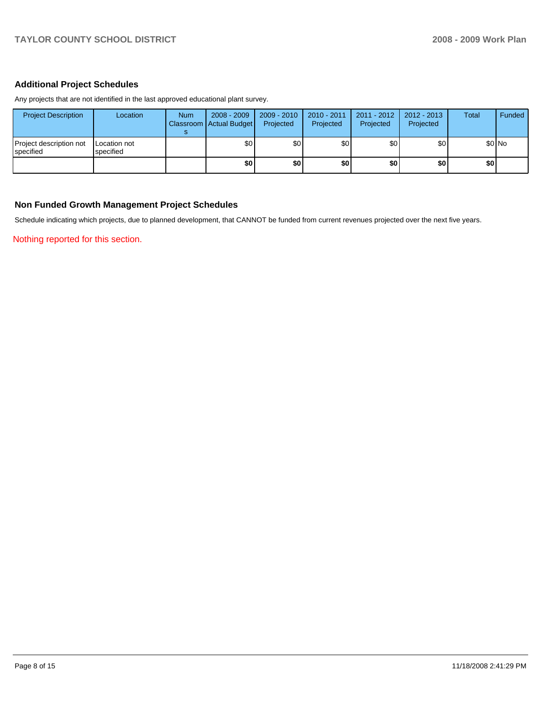## **Additional Project Schedules**

Any projects that are not identified in the last approved educational plant survey.

| <b>Project Description</b>                    | Location                  | <b>Num</b> | $2008 - 2009$<br>Classroom Actual Budget | $2009 - 2010$<br>Projected | 2010 - 2011<br>Projected | 2011 - 2012<br>Projected | $2012 - 2013$<br>Projected | <b>Total</b> | Funded |
|-----------------------------------------------|---------------------------|------------|------------------------------------------|----------------------------|--------------------------|--------------------------|----------------------------|--------------|--------|
| Project description not<br><b>I</b> specified | Location not<br>specified |            | \$0                                      | \$0 <sub>1</sub>           | \$0                      | \$0                      | \$0                        |              | \$0 No |
|                                               |                           |            | \$0                                      | \$٥                        | \$0                      | \$0                      | \$0                        | \$0          |        |

## **Non Funded Growth Management Project Schedules**

Schedule indicating which projects, due to planned development, that CANNOT be funded from current revenues projected over the next five years.

Nothing reported for this section.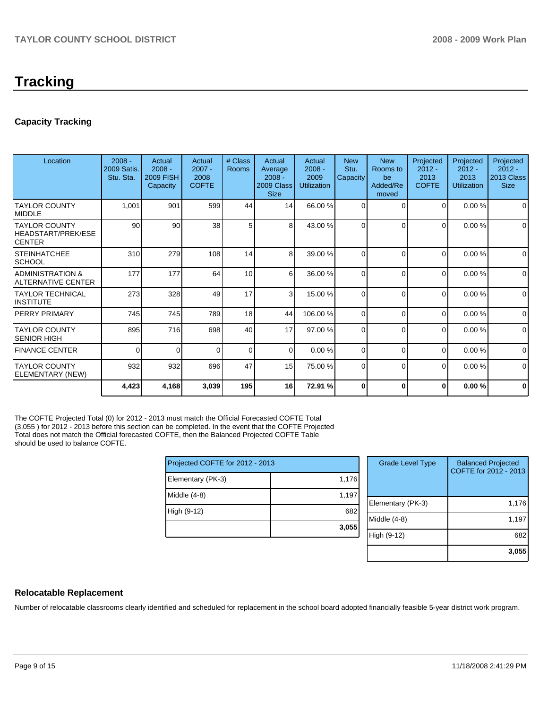# **Tracking**

## **Capacity Tracking**

| Location                                               | $2008 -$<br><b>2009 Satis.</b><br>Stu. Sta. | Actual<br>$2008 -$<br><b>2009 FISH</b><br>Capacity | Actual<br>$2007 -$<br>2008<br><b>COFTE</b> | # Class<br>Rooms | Actual<br>Average<br>$2008 -$<br>2009 Class<br><b>Size</b> | Actual<br>$2008 -$<br>2009<br>Utilization | <b>New</b><br>Stu.<br>Capacity | <b>New</b><br>Rooms to<br>be<br>Added/Re<br>moved | Projected<br>$2012 -$<br>2013<br><b>COFTE</b> | Projected<br>$2012 -$<br>2013<br><b>Utilization</b> | Projected<br>$2012 -$<br>2013 Class<br><b>Size</b> |
|--------------------------------------------------------|---------------------------------------------|----------------------------------------------------|--------------------------------------------|------------------|------------------------------------------------------------|-------------------------------------------|--------------------------------|---------------------------------------------------|-----------------------------------------------|-----------------------------------------------------|----------------------------------------------------|
| ITAYLOR COUNTY<br><b>IMIDDLE</b>                       | 1,001                                       | 901                                                | 599                                        | 44               | 14                                                         | 66.00 %                                   | $\Omega$                       | $\Omega$                                          | 0                                             | 0.00%                                               | $\Omega$                                           |
| ITAYLOR COUNTY<br>HEADSTART/PREK/ESE<br><b>ICENTER</b> | 90                                          | 90                                                 | 38                                         | 5                | 8                                                          | 43.00 %                                   | $\Omega$                       | $\Omega$                                          | $\Omega$                                      | 0.00%                                               | $\mathbf 0$                                        |
| ISTEINHATCHEE<br> SCHOOL                               | 310                                         | 279                                                | 108                                        | 14               | 8                                                          | 39.00 %                                   | $\Omega$                       | $\Omega$                                          | $\Omega$                                      | 0.00%                                               | $\mathbf 0$                                        |
| ADMINISTRATION &<br>ALTERNATIVE CENTER                 | 177                                         | 177                                                | 64                                         | 10               | 6                                                          | 36.00 %                                   | $\Omega$                       | $\Omega$                                          | $\Omega$                                      | 0.00%                                               | $\mathbf 0$                                        |
| ITAYLOR TECHNICAL<br>IINSTITUTE                        | 273                                         | 328                                                | 49                                         | 17               | 3                                                          | 15.00 %                                   | $\Omega$                       | $\Omega$                                          | $\Omega$                                      | 0.00%                                               | $\mathbf 0$                                        |
| IPERRY PRIMARY                                         | 745                                         | 745                                                | 789                                        | 18               | 44                                                         | 106.00 %                                  | $\Omega$                       | $\Omega$                                          | 0                                             | 0.00%                                               | $\mathbf 0$                                        |
| ITAYLOR COUNTY<br>SENIOR HIGH                          | 895                                         | 716                                                | 698                                        | 40               | 17                                                         | 97.00 %                                   | $\Omega$                       | $\Omega$                                          | 0                                             | 0.00%                                               | $\Omega$                                           |
| <b>FINANCE CENTER</b>                                  | 0                                           | $\Omega$                                           | $\Omega$                                   | $\Omega$         | $\Omega$                                                   | 0.00%                                     | $\Omega$                       | $\Omega$                                          | $\Omega$                                      | 0.00%                                               | $\Omega$                                           |
| <b>TAYLOR COUNTY</b><br>ELEMENTARY (NEW)               | 932                                         | 932                                                | 696                                        | 47               | 15                                                         | 75.00 %                                   | $\Omega$                       | $\Omega$                                          | $\Omega$                                      | 0.00%                                               | $\Omega$                                           |
|                                                        | 4,423                                       | 4,168                                              | 3,039                                      | 195              | 16                                                         | 72.91 %                                   | O                              | $\mathbf 0$                                       | $\bf{0}$                                      | 0.00%                                               | $\bf{0}$                                           |

The COFTE Projected Total (0) for 2012 - 2013 must match the Official Forecasted COFTE Total (3,055 ) for 2012 - 2013 before this section can be completed. In the event that the COFTE Projected Total does not match the Official forecasted COFTE, then the Balanced Projected COFTE Table should be used to balance COFTE.

| Projected COFTE for 2012 - 2013 |       |  |  |  |  |
|---------------------------------|-------|--|--|--|--|
| Elementary (PK-3)               | 1,176 |  |  |  |  |
| Middle (4-8)                    | 1,197 |  |  |  |  |
| High (9-12)                     | 682   |  |  |  |  |
|                                 | 3,055 |  |  |  |  |

| <b>Grade Level Type</b> | <b>Balanced Projected</b><br>COFTE for 2012 - 2013 |
|-------------------------|----------------------------------------------------|
| Elementary (PK-3)       | 1,176                                              |
| Middle $(4-8)$          | 1,197                                              |
| High (9-12)             | 682                                                |
|                         | 3,055                                              |

## **Relocatable Replacement**

Number of relocatable classrooms clearly identified and scheduled for replacement in the school board adopted financially feasible 5-year district work program.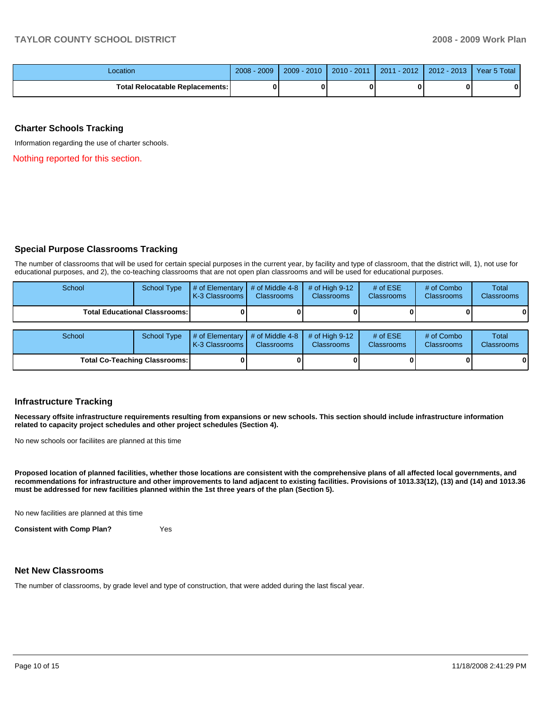| Location                               | 2008<br>2009 | $-2010$<br>$2009 -$ | 2010 - 2011 | $-2012$<br>2011 | $2012 - 2013$ | Year 5 Total |
|----------------------------------------|--------------|---------------------|-------------|-----------------|---------------|--------------|
| <b>Total Relocatable Replacements:</b> | 0            |                     |             |                 |               | 0            |

#### **Charter Schools Tracking**

Information regarding the use of charter schools.

Nothing reported for this section.

#### **Special Purpose Classrooms Tracking**

The number of classrooms that will be used for certain special purposes in the current year, by facility and type of classroom, that the district will, 1), not use for educational purposes, and 2), the co-teaching classrooms that are not open plan classrooms and will be used for educational purposes.

| School | School Type                          | # of Elementary $\mid$ # of Middle 4-8<br>K-3 Classrooms I | <b>Classrooms</b>                    | # of High $9-12$<br><b>Classrooms</b> | # of $ESE$<br><b>Classrooms</b> | # of Combo<br><b>Classrooms</b> | Total<br><b>Classrooms</b> |
|--------|--------------------------------------|------------------------------------------------------------|--------------------------------------|---------------------------------------|---------------------------------|---------------------------------|----------------------------|
|        | <b>Total Educational Classrooms:</b> |                                                            |                                      |                                       |                                 |                                 | 01                         |
|        |                                      |                                                            |                                      |                                       |                                 |                                 |                            |
| School | <b>School Type</b>                   | $#$ of Elementary<br>K-3 Classrooms I                      | # of Middle 4-8<br><b>Classrooms</b> | # of High $9-12$<br><b>Classrooms</b> | # of $ESE$<br>Classrooms        | # of Combo<br><b>Classrooms</b> | Total<br><b>Classrooms</b> |
|        | <b>Total Co-Teaching Classrooms:</b> |                                                            |                                      |                                       |                                 | 0                               | 01                         |

#### **Infrastructure Tracking**

**Necessary offsite infrastructure requirements resulting from expansions or new schools. This section should include infrastructure information related to capacity project schedules and other project schedules (Section 4).** 

No new schools oor faciliites are planned at this time

**Proposed location of planned facilities, whether those locations are consistent with the comprehensive plans of all affected local governments, and recommendations for infrastructure and other improvements to land adjacent to existing facilities. Provisions of 1013.33(12), (13) and (14) and 1013.36 must be addressed for new facilities planned within the 1st three years of the plan (Section 5).** 

No new facilities are planned at this time

**Consistent with Comp Plan?** Yes

# **Net New Classrooms**

The number of classrooms, by grade level and type of construction, that were added during the last fiscal year.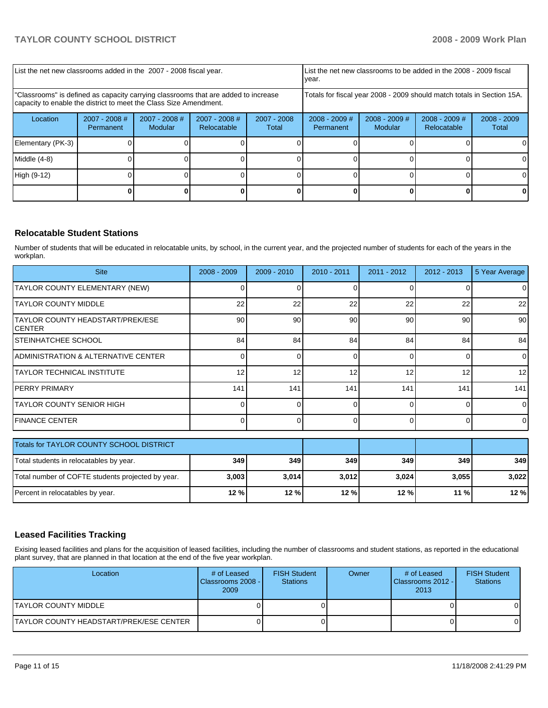| List the net new classrooms added in the 2007 - 2008 fiscal year.                                                                                       | List the net new classrooms to be added in the 2008 - 2009 fiscal<br>year. |                            |                                |                      |                                                                        |                            |                                |                        |
|---------------------------------------------------------------------------------------------------------------------------------------------------------|----------------------------------------------------------------------------|----------------------------|--------------------------------|----------------------|------------------------------------------------------------------------|----------------------------|--------------------------------|------------------------|
| "Classrooms" is defined as capacity carrying classrooms that are added to increase<br>capacity to enable the district to meet the Class Size Amendment. |                                                                            |                            |                                |                      | Totals for fiscal year 2008 - 2009 should match totals in Section 15A. |                            |                                |                        |
| Location                                                                                                                                                | 2007 - 2008 #<br>Permanent                                                 | $2007 - 2008$ #<br>Modular | $2007 - 2008$ #<br>Relocatable | 2007 - 2008<br>Total | $2008 - 2009$ #<br>Permanent                                           | $2008 - 2009$ #<br>Modular | $2008 - 2009$ #<br>Relocatable | $2008 - 2009$<br>Total |
| Elementary (PK-3)                                                                                                                                       |                                                                            |                            |                                |                      |                                                                        |                            |                                |                        |
| Middle (4-8)                                                                                                                                            |                                                                            |                            |                                |                      |                                                                        |                            |                                |                        |
| High (9-12)                                                                                                                                             |                                                                            |                            |                                |                      |                                                                        |                            |                                | 0                      |
|                                                                                                                                                         |                                                                            |                            |                                |                      |                                                                        |                            |                                |                        |

## **Relocatable Student Stations**

Number of students that will be educated in relocatable units, by school, in the current year, and the projected number of students for each of the years in the workplan.

| <b>Site</b>                                 | $2008 - 2009$ | $2009 - 2010$ | $2010 - 2011$ | $2011 - 2012$ | $2012 - 2013$ | 5 Year Average  |
|---------------------------------------------|---------------|---------------|---------------|---------------|---------------|-----------------|
| TAYLOR COUNTY ELEMENTARY (NEW)              |               |               |               |               |               | $\overline{0}$  |
| <b>ITAYLOR COUNTY MIDDLE</b>                | 22            | 22            | 22            | 22            | 22            | 22              |
| TAYLOR COUNTY HEADSTART/PREK/ESE<br>ICENTER | 90            | 90            | 90            | 90            | 90            | 90 <sub>1</sub> |
| ISTEINHATCHEE SCHOOL                        | 84            | 84            | 84            | 84            | 84            | 84              |
| ADMINISTRATION & ALTERNATIVE CENTER         |               |               | 0             |               |               | $\overline{0}$  |
| ITAYLOR TECHNICAL INSTITUTE                 | 12            | 12            | 12            | 12            | 12            | 12              |
| IPERRY PRIMARY                              | 141           | 141           | 141           | 141           | 141           | 141             |
| ITAYLOR COUNTY SENIOR HIGH                  |               |               | 0             | 0             |               | $\overline{0}$  |
| <b>FINANCE CENTER</b>                       |               |               | U             |               |               | $\Omega$        |
| Totals for TAVI OR COLINTY SCHOOL DISTRICT  |               |               |               |               |               |                 |

| Totals for TAYLOR COUNTY SCHOOL DISTRICT          |       |         |       |       |            |       |
|---------------------------------------------------|-------|---------|-------|-------|------------|-------|
| Total students in relocatables by year.           | 349   | 349     | 349   | 349 I | <b>349</b> | 349   |
| Total number of COFTE students projected by year. | 3,003 | 3.014   | 3,012 | 3.024 | 3.055      | 3.022 |
| Percent in relocatables by year.                  | 12%   | $12 \%$ | 12%   | 12%   | $11 \%$    | 12 %  |

## **Leased Facilities Tracking**

Exising leased facilities and plans for the acquisition of leased facilities, including the number of classrooms and student stations, as reported in the educational plant survey, that are planned in that location at the end of the five year workplan.

| Location                                | # of Leased<br>Classrooms 2008 -<br>2009 | <b>FISH Student</b><br><b>Stations</b> | Owner | # of Leased<br>Classrooms 2012 - I<br>2013 | <b>FISH Student</b><br><b>Stations</b> |
|-----------------------------------------|------------------------------------------|----------------------------------------|-------|--------------------------------------------|----------------------------------------|
| ITAYLOR COUNTY MIDDLE                   |                                          |                                        |       |                                            |                                        |
| TAYLOR COUNTY HEADSTART/PREK/ESE CENTER |                                          |                                        |       |                                            |                                        |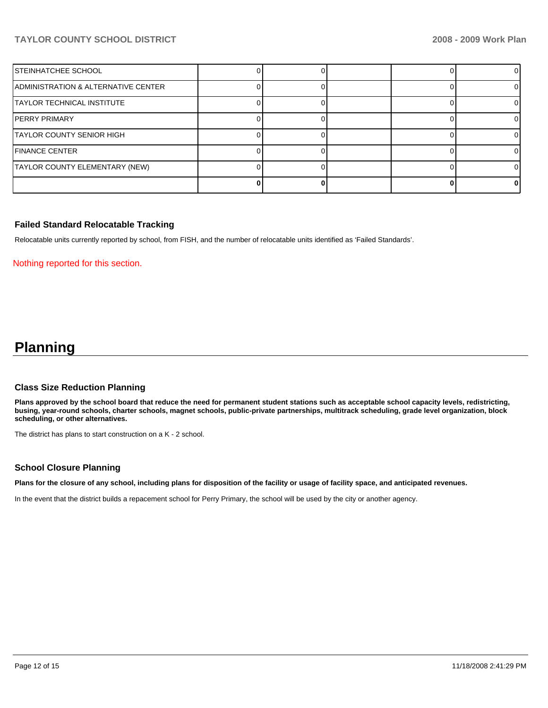## **TAYLOR COUNTY SCHOOL DISTRICT 2008 - 2009 Work Plan**

| <b>STEINHATCHEE SCHOOL</b>          |  |  |  |
|-------------------------------------|--|--|--|
| ADMINISTRATION & ALTERNATIVE CENTER |  |  |  |
| TAYLOR TECHNICAL INSTITUTE          |  |  |  |
| IPERRY PRIMARY                      |  |  |  |
| TAYLOR COUNTY SENIOR HIGH           |  |  |  |
| <b>IFINANCE CENTER</b>              |  |  |  |
| TAYLOR COUNTY ELEMENTARY (NEW)      |  |  |  |
|                                     |  |  |  |

#### **Failed Standard Relocatable Tracking**

Relocatable units currently reported by school, from FISH, and the number of relocatable units identified as 'Failed Standards'.

#### Nothing reported for this section.

# **Planning**

#### **Class Size Reduction Planning**

**Plans approved by the school board that reduce the need for permanent student stations such as acceptable school capacity levels, redistricting, busing, year-round schools, charter schools, magnet schools, public-private partnerships, multitrack scheduling, grade level organization, block scheduling, or other alternatives.** 

The district has plans to start construction on a K - 2 school.

#### **School Closure Planning**

**Plans for the closure of any school, including plans for disposition of the facility or usage of facility space, and anticipated revenues.** 

In the event that the district builds a repacement school for Perry Primary, the school will be used by the city or another agency.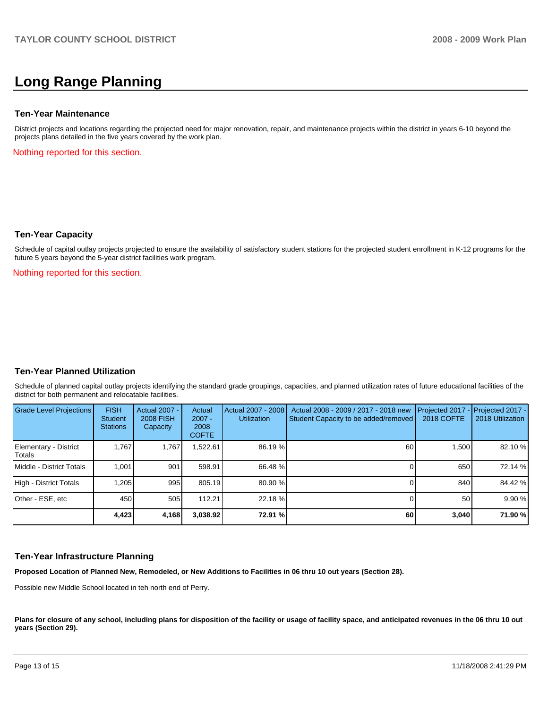# **Long Range Planning**

#### **Ten-Year Maintenance**

District projects and locations regarding the projected need for major renovation, repair, and maintenance projects within the district in years 6-10 beyond the projects plans detailed in the five years covered by the work plan.

Nothing reported for this section.

#### **Ten-Year Capacity**

Schedule of capital outlay projects projected to ensure the availability of satisfactory student stations for the projected student enrollment in K-12 programs for the future 5 years beyond the 5-year district facilities work program.

Nothing reported for this section.

## **Ten-Year Planned Utilization**

Schedule of planned capital outlay projects identifying the standard grade groupings, capacities, and planned utilization rates of future educational facilities of the district for both permanent and relocatable facilities.

| Grade Level Projections         | <b>FISH</b><br>Student<br><b>Stations</b> | <b>Actual 2007 -</b><br><b>2008 FISH</b><br>Capacity | Actual<br>$2007 -$<br>2008<br><b>COFTE</b> | Actual 2007 - 2008<br><b>Utilization</b> | Actual 2008 - 2009 / 2017 - 2018 new<br>Student Capacity to be added/removed | Projected 2017 - Projected 2017 -<br><b>2018 COFTE</b> | 2018 Utilization |
|---------------------------------|-------------------------------------------|------------------------------------------------------|--------------------------------------------|------------------------------------------|------------------------------------------------------------------------------|--------------------------------------------------------|------------------|
| Elementary - District<br>Totals | 1.767                                     | 1,767                                                | .522.61                                    | 86.19 %                                  | 60                                                                           | 1,500                                                  | 82.10 %          |
| Middle - District Totals        | 1.001                                     | 901                                                  | 598.91                                     | 66.48 %                                  |                                                                              | 650                                                    | 72.14 %          |
| High - District Totals          | 1,205                                     | 995                                                  | 805.19                                     | 80.90 %                                  |                                                                              | 840                                                    | 84.42 %          |
| Other - ESE, etc                | 450                                       | 505                                                  | 112.21                                     | 22.18 %                                  |                                                                              | 50                                                     | 9.90 %           |
|                                 | 4,423                                     | 4,168                                                | 3,038.92                                   | 72.91 %                                  | 60                                                                           | 3,040                                                  | 71.90 %          |

#### **Ten-Year Infrastructure Planning**

**Proposed Location of Planned New, Remodeled, or New Additions to Facilities in 06 thru 10 out years (Section 28).** 

Possible new Middle School located in teh north end of Perry.

Plans for closure of any school, including plans for disposition of the facility or usage of facility space, and anticipated revenues in the 06 thru 10 out **years (Section 29).**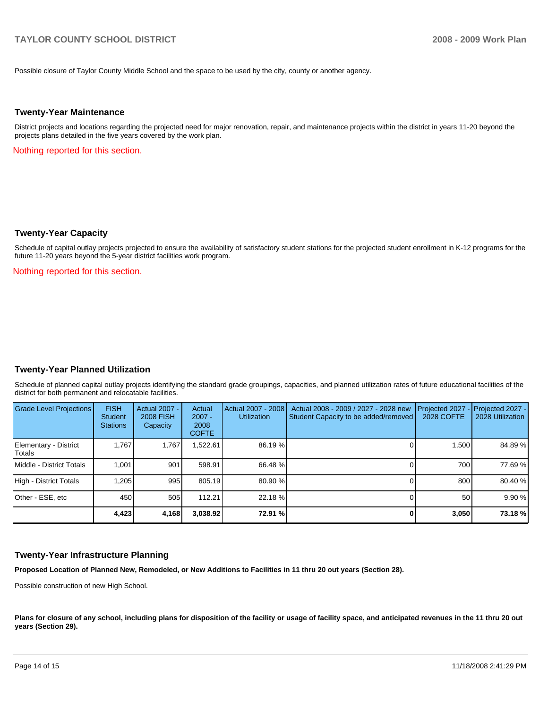Possible closure of Taylor County Middle School and the space to be used by the city, county or another agency.

#### **Twenty-Year Maintenance**

District projects and locations regarding the projected need for major renovation, repair, and maintenance projects within the district in years 11-20 beyond the projects plans detailed in the five years covered by the work plan.

Nothing reported for this section.

#### **Twenty-Year Capacity**

Schedule of capital outlay projects projected to ensure the availability of satisfactory student stations for the projected student enrollment in K-12 programs for the future 11-20 years beyond the 5-year district facilities work program.

Nothing reported for this section.

#### **Twenty-Year Planned Utilization**

Schedule of planned capital outlay projects identifying the standard grade groupings, capacities, and planned utilization rates of future educational facilities of the district for both permanent and relocatable facilities.

| Grade Level Projections         | <b>FISH</b><br><b>Student</b><br><b>Stations</b> | Actual 2007 -<br><b>2008 FISH</b><br>Capacity | Actual<br>$2007 -$<br>2008<br><b>COFTE</b> | Actual 2007 - 2008<br><b>Utilization</b> | Actual 2008 - 2009 / 2027 - 2028 new<br>Student Capacity to be added/removed | Projected 2027<br>2028 COFTE | $-$ Projected 2027 -<br>2028 Utilization |
|---------------------------------|--------------------------------------------------|-----------------------------------------------|--------------------------------------------|------------------------------------------|------------------------------------------------------------------------------|------------------------------|------------------------------------------|
| Elementary - District<br>Totals | 1.767                                            | 1.767                                         | .522.61                                    | 86.19 %                                  |                                                                              | 1.500                        | 84.89%                                   |
| Middle - District Totals        | 1.001                                            | 901                                           | 598.91                                     | 66.48 %                                  |                                                                              | 700                          | 77.69 %                                  |
| High - District Totals          | 1.205                                            | 995                                           | 805.19                                     | 80.90 %                                  |                                                                              | 800                          | 80.40 %                                  |
| Other - ESE, etc                | 450                                              | 505                                           | 112.21                                     | 22.18 %                                  |                                                                              | 50                           | 9.90 %                                   |
|                                 | 4,423                                            | 4,168                                         | 3,038.92                                   | 72.91 %                                  |                                                                              | 3,050                        | 73.18%                                   |

#### **Twenty-Year Infrastructure Planning**

**Proposed Location of Planned New, Remodeled, or New Additions to Facilities in 11 thru 20 out years (Section 28).** 

Possible construction of new High School.

Plans for closure of any school, including plans for disposition of the facility or usage of facility space, and anticipated revenues in the 11 thru 20 out **years (Section 29).**